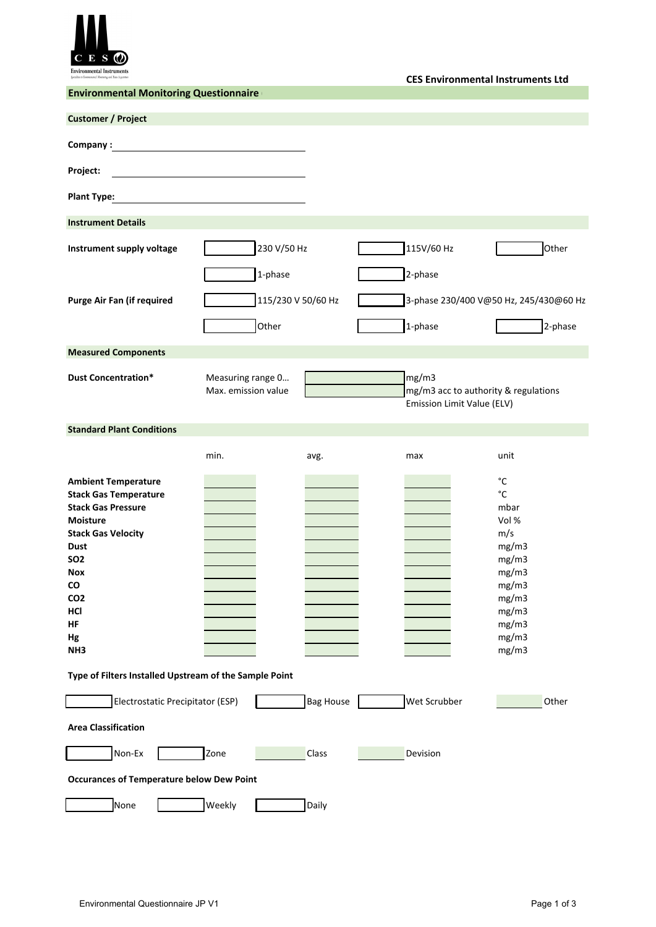

**CES Environmental Instruments Ltd**

| <b>Environmental Monitoring Questionnaire</b>                                                                                                                                                                                                                                                                    |                                          |                  |  |                                                                             |                                                                                                                                  |  |
|------------------------------------------------------------------------------------------------------------------------------------------------------------------------------------------------------------------------------------------------------------------------------------------------------------------|------------------------------------------|------------------|--|-----------------------------------------------------------------------------|----------------------------------------------------------------------------------------------------------------------------------|--|
| <b>Customer / Project</b>                                                                                                                                                                                                                                                                                        |                                          |                  |  |                                                                             |                                                                                                                                  |  |
| Company:                                                                                                                                                                                                                                                                                                         |                                          |                  |  |                                                                             |                                                                                                                                  |  |
| Project:                                                                                                                                                                                                                                                                                                         |                                          |                  |  |                                                                             |                                                                                                                                  |  |
| <b>Plant Type:</b>                                                                                                                                                                                                                                                                                               |                                          |                  |  |                                                                             |                                                                                                                                  |  |
| <b>Instrument Details</b>                                                                                                                                                                                                                                                                                        |                                          |                  |  |                                                                             |                                                                                                                                  |  |
| Instrument supply voltage                                                                                                                                                                                                                                                                                        | 230 V/50 Hz                              |                  |  | 115V/60 Hz                                                                  | Other                                                                                                                            |  |
|                                                                                                                                                                                                                                                                                                                  | 1-phase                                  |                  |  | 2-phase                                                                     |                                                                                                                                  |  |
| <b>Purge Air Fan (if required</b>                                                                                                                                                                                                                                                                                | 115/230 V 50/60 Hz                       |                  |  |                                                                             | 3-phase 230/400 V@50 Hz, 245/430@60 Hz                                                                                           |  |
|                                                                                                                                                                                                                                                                                                                  | Other                                    |                  |  | 1-phase                                                                     | 2-phase                                                                                                                          |  |
| <b>Measured Components</b>                                                                                                                                                                                                                                                                                       |                                          |                  |  |                                                                             |                                                                                                                                  |  |
| <b>Dust Concentration*</b>                                                                                                                                                                                                                                                                                       | Measuring range 0<br>Max. emission value |                  |  | mg/m3<br>mg/m3 acc to authority & regulations<br>Emission Limit Value (ELV) |                                                                                                                                  |  |
| <b>Standard Plant Conditions</b>                                                                                                                                                                                                                                                                                 |                                          |                  |  |                                                                             |                                                                                                                                  |  |
|                                                                                                                                                                                                                                                                                                                  | min.                                     | avg.             |  | max                                                                         | unit                                                                                                                             |  |
| <b>Ambient Temperature</b><br><b>Stack Gas Temperature</b><br><b>Stack Gas Pressure</b><br><b>Moisture</b><br><b>Stack Gas Velocity</b><br><b>Dust</b><br>SO <sub>2</sub><br>Nox<br><b>CO</b><br>CO <sub>2</sub><br>HCI<br>HF<br>Hg<br>NH <sub>3</sub><br>Type of Filters Installed Upstream of the Sample Point |                                          |                  |  |                                                                             | °C<br>$^{\circ}{\rm C}$<br>mbar<br>Vol %<br>m/s<br>mg/m3<br>mg/m3<br>mg/m3<br>mg/m3<br>mg/m3<br>mg/m3<br>mg/m3<br>mg/m3<br>mg/m3 |  |
| Electrostatic Precipitator (ESP)                                                                                                                                                                                                                                                                                 |                                          | <b>Bag House</b> |  | Wet Scrubber                                                                | Other                                                                                                                            |  |
| <b>Area Classification</b>                                                                                                                                                                                                                                                                                       |                                          |                  |  |                                                                             |                                                                                                                                  |  |
| Non-Ex                                                                                                                                                                                                                                                                                                           | Zone                                     | <b>Class</b>     |  | Devision                                                                    |                                                                                                                                  |  |
| <b>Occurances of Temperature below Dew Point</b>                                                                                                                                                                                                                                                                 |                                          |                  |  |                                                                             |                                                                                                                                  |  |
| None                                                                                                                                                                                                                                                                                                             | Weekly                                   | Daily            |  |                                                                             |                                                                                                                                  |  |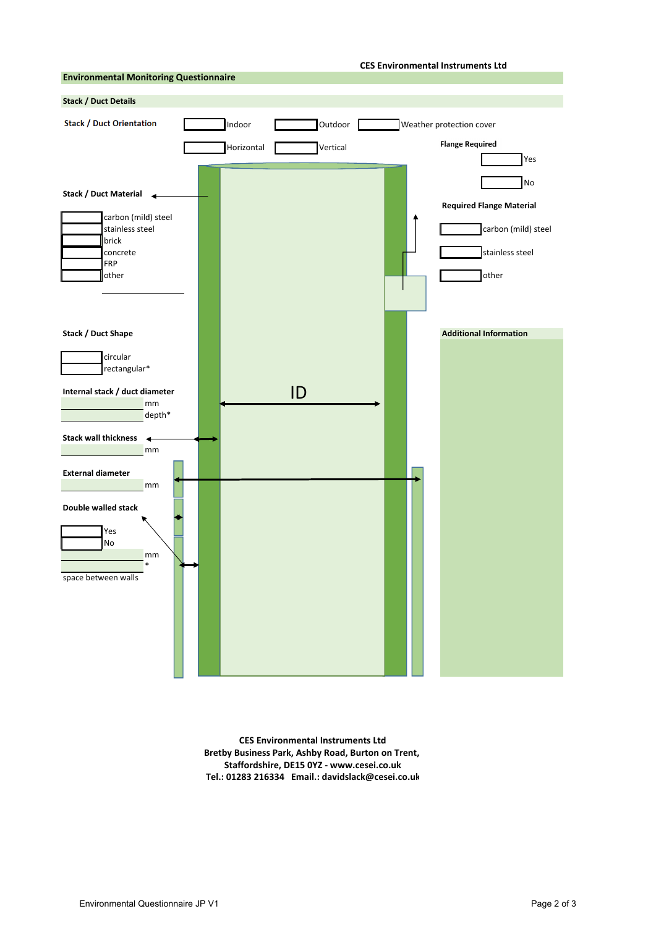## **CES Environmental Instruments Ltd**



**CES Environmental Instruments Ltd Bretby Business Park, Ashby Road, Burton on Trent, Staffordshire, DE15 0YZ ‐ www.cesei.co.uk Tel.: 01283 216334 Email.: davidslack@cesei.co.uk**